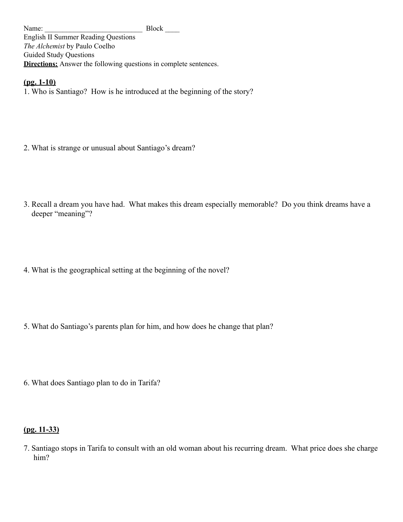Name: Block English II Summer Reading Questions *The Alchemist* by Paulo Coelho Guided Study Questions **Directions:** Answer the following questions in complete sentences.

**(pg. 1-10)**

1. Who is Santiago? How is he introduced at the beginning of the story?

- 2. What is strange or unusual about Santiago's dream?
- 3. Recall a dream you have had. What makes this dream especially memorable? Do you think dreams have a deeper "meaning"?
- 4. What is the geographical setting at the beginning of the novel?
- 5. What do Santiago's parents plan for him, and how does he change that plan?
- 6. What does Santiago plan to do in Tarifa?

# **(pg. 11-33)**

7. Santiago stops in Tarifa to consult with an old woman about his recurring dream. What price does she charge him?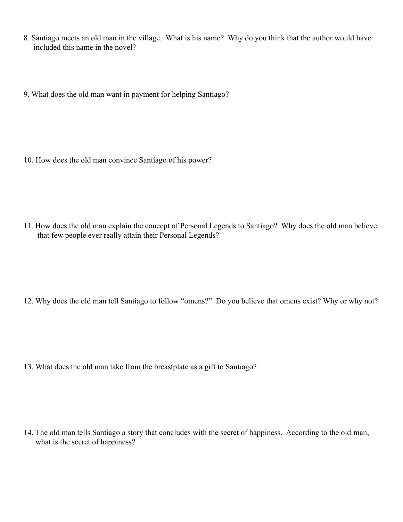- 8. Santiago meets an old man in the village. What is his name? Why do you think that the author would have included this name in the novel?
- 9. What does the old man want in payment for helping Santiago?

10. How does the old man convince Santiago of his power?

11. How does the old man explain the concept of Personal Legends to Santiago? Why does the old man believe that few people ever really attain their Personal Legends?

12. Why does the old man tell Santiago to follow "omens?" Do you believe that omens exist? Why or why not?

13. What does the old man take from the breastplate as a gift to Santiago?

14. The old man tells Santiago a story that concludes with the secret of happiness. According to the old man, what is the secret of happiness?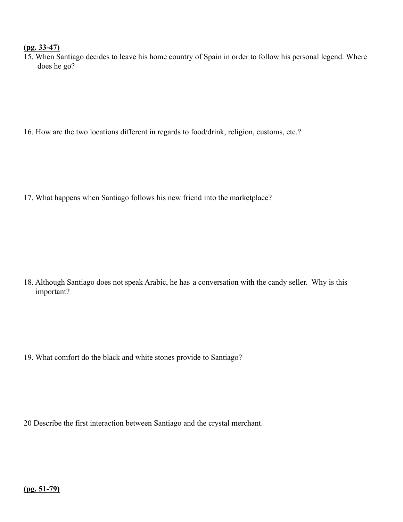## **(pg. 33-47)**

15. When Santiago decides to leave his home country of Spain in order to follow his personal legend. Where does he go?

16. How are the two locations different in regards to food/drink, religion, customs, etc.?

17. What happens when Santiago follows his new friend into the marketplace?

18. Although Santiago does not speak Arabic, he has a conversation with the candy seller. Why is this important?

19. What comfort do the black and white stones provide to Santiago?

20 Describe the first interaction between Santiago and the crystal merchant.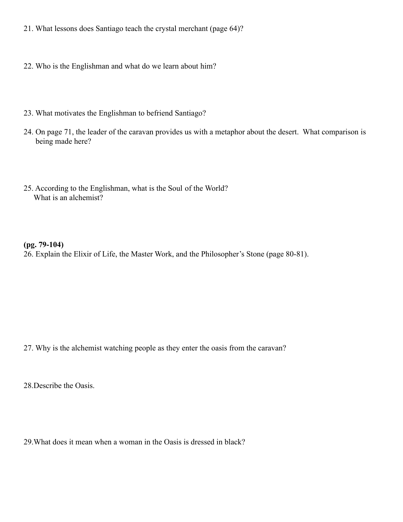- 21. What lessons does Santiago teach the crystal merchant (page 64)?
- 22. Who is the Englishman and what do we learn about him?
- 23. What motivates the Englishman to befriend Santiago?
- 24. On page 71, the leader of the caravan provides us with a metaphor about the desert. What comparison is being made here?
- 25. According to the Englishman, what is the Soul of the World? What is an alchemist?

## **(pg. 79-104)**

26. Explain the Elixir of Life, the Master Work, and the Philosopher's Stone (page 80-81).

27. Why is the alchemist watching people as they enter the oasis from the caravan?

28.Describe the Oasis.

29.What does it mean when a woman in the Oasis is dressed in black?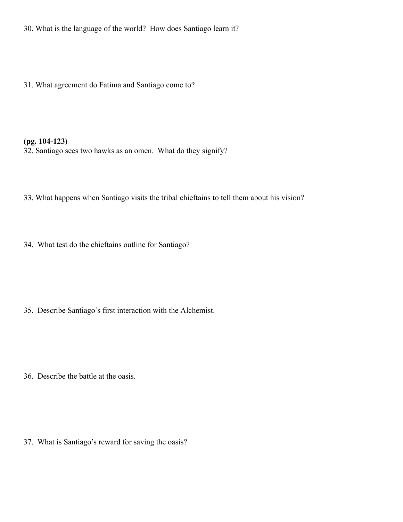30. What is the language of the world? How does Santiago learn it?

31. What agreement do Fatima and Santiago come to?

## **(pg. 104-123)**

32. Santiago sees two hawks as an omen. What do they signify?

33. What happens when Santiago visits the tribal chieftains to tell them about his vision?

34. What test do the chieftains outline for Santiago?

35. Describe Santiago's first interaction with the Alchemist.

36. Describe the battle at the oasis.

37. What is Santiago's reward for saving the oasis?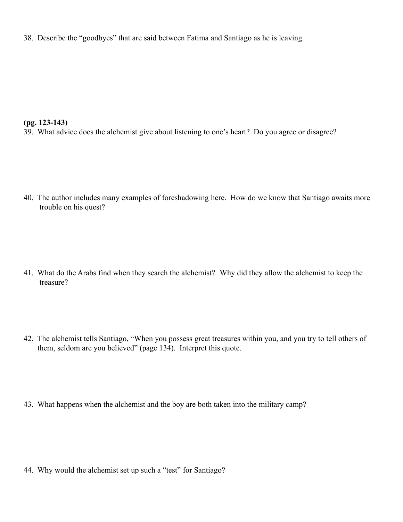38. Describe the "goodbyes" that are said between Fatima and Santiago as he is leaving.

#### **(pg. 123-143)**

39. What advice does the alchemist give about listening to one's heart? Do you agree or disagree?

40. The author includes many examples of foreshadowing here. How do we know that Santiago awaits more trouble on his quest?

- 41. What do the Arabs find when they search the alchemist? Why did they allow the alchemist to keep the treasure?
- 42. The alchemist tells Santiago, "When you possess great treasures within you, and you try to tell others of them, seldom are you believed" (page 134). Interpret this quote.
- 43. What happens when the alchemist and the boy are both taken into the military camp?

44. Why would the alchemist set up such a "test" for Santiago?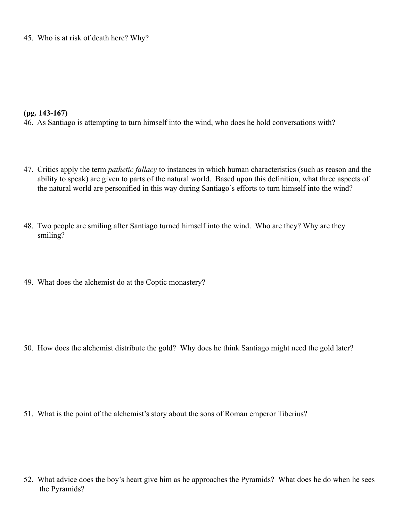45. Who is at risk of death here? Why?

#### **(pg. 143-167)**

46. As Santiago is attempting to turn himself into the wind, who does he hold conversations with?

- 47. Critics apply the term *pathetic fallacy* to instances in which human characteristics (such as reason and the ability to speak) are given to parts of the natural world. Based upon this definition, what three aspects of the natural world are personified in this way during Santiago's efforts to turn himself into the wind?
- 48. Two people are smiling after Santiago turned himself into the wind. Who are they? Why are they smiling?
- 49. What does the alchemist do at the Coptic monastery?

50. How does the alchemist distribute the gold? Why does he think Santiago might need the gold later?

51. What is the point of the alchemist's story about the sons of Roman emperor Tiberius?

52. What advice does the boy's heart give him as he approaches the Pyramids? What does he do when he sees the Pyramids?